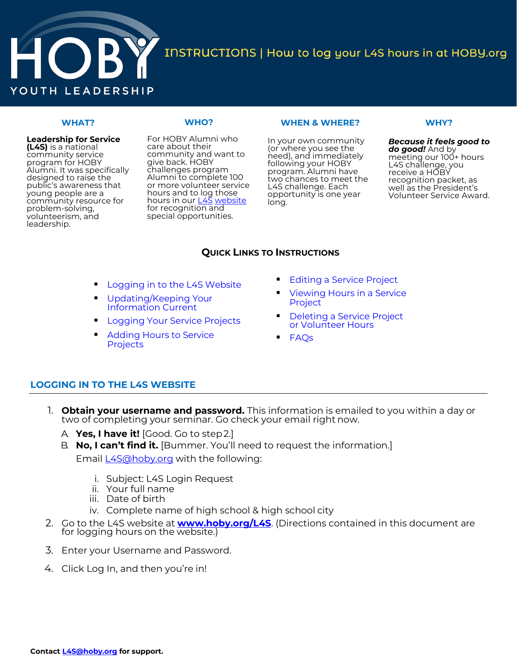

INSTRUCTIONS | How to log your L4S hours in at HOBY.org

# **WHAT?**

# **Leadership for Service (L4S)** is a national

community service program for HOBY Alumni. It was specifically designed to raise the public's awareness that young people are a community resource for problem-solving, volunteerism, and leadership.

For HOBY Alumni who care about their community and want to give back. HOBY challenges program Alumni to complete 100 or more volunteer service hours and to log those hours in our **L4S** [website](https://www.hoby.org/l4s) for recognition and special opportunities.

**WHO?**

### **WHEN & WHERE?**

In your own community (or where you see the need), and immediately following your HOBY program. Alumni have two chances to meet the L4S challenge. Each opportunity is one year long.

# **WHY?**

*Because it feels good to do good!* And by meeting our 100+ hours L4S challenge, you receive a HOBY recognition packet, as well as the President's Volunteer Service Award.

# **QUICK LINKS TO INSTRUCTIONS**

- [Logging in to the L4S](#page-0-0) Website
- [Updating/Keeping Your](#page-1-0) Information Current
- [Logging Your Service](#page-2-0) Projects
- [Adding Hours to Service](#page-3-0) **Projects**
- **[Editing a Service Project](#page-4-0)**
- [Viewing Hours in a Service](#page-4-1) Project
- **[Deleting a S](#page-5-0)ervice Project** or Volunteer Hours
- <span id="page-0-0"></span>[FAQs](#page-6-0)

# **LOGGING IN TO THE L4S WEBSITE**

- 1. **Obtain your username and password.** This information is emailed to you within a day or two of completing your seminar. Go check your email right now.
	- A. **Yes, I have it!** [Good. Go to step2.]
	- B. **No, I can't find it.** [Bummer. You'll need to request the information.]

Email **[L4S@hoby.org](mailto:L4S@hoby.org)** with the following:

- i. Subject: L4S Login Request
- ii. Your full [name](https://reg.hoby.org/HOBYL4S/login.aspx)
- iii. Date of birth
- iv. Complete name of high school & high school city
- 2. Go to the L4S website at **[www.hoby.org/L4S](https://www.hoby.org/l4s)**. (Directions contained in this document are for logging hours on the website.)
- 3. Enter your Username and Password.
- 4. Click Log In, and then you're in!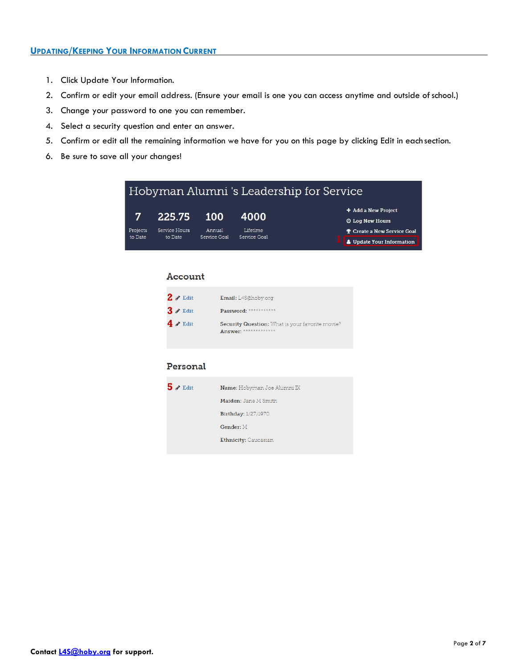- <span id="page-1-0"></span>1. Click Update Your Information.
- 2. Confirm or edit your email address. (Ensure your email is one you can access anytime and outside ofschool.)
- 3. Change your password to one you can remember.
- 4. Select a security question and enter an answer.
- 5. Confirm or edit all the remaining information we have for you on this page by clicking Edit in each section.
- 6. Be sure to save all your changes!

| Hobyman Alumni 's Leadership for Service |                          |                        |                          |                                    |  |
|------------------------------------------|--------------------------|------------------------|--------------------------|------------------------------------|--|
|                                          | 225.75 100               |                        | 4000                     | + Add a New Project                |  |
|                                          |                          |                        |                          | <b>O</b> Log New Hours             |  |
| Projects<br>to Date                      | Service Hours<br>to Date | Annual<br>Service Goal | Lifetime<br>Service Goal | <b>P</b> Create a New Service Goal |  |
|                                          |                          |                        |                          | <b>A</b> Update Your Information   |  |

## Account

| $2 \times$ Edit | Email: L4S@hoby.org                                                       |
|-----------------|---------------------------------------------------------------------------|
| $3 \times$ Edit | Password: ************                                                    |
| $4 \times$ Edit | Security Question: What is your favorite movie?<br>Answer: ************** |

# Personal

| $5 \times$ Edit | <b>Name:</b> Hobyman Joe Alumni IX |
|-----------------|------------------------------------|
|                 | Maiden: Jane M Smith               |
|                 | Birthday: 1/27/1970                |
|                 | Gender: M                          |
|                 | Ethnicity: Caucasian               |
|                 |                                    |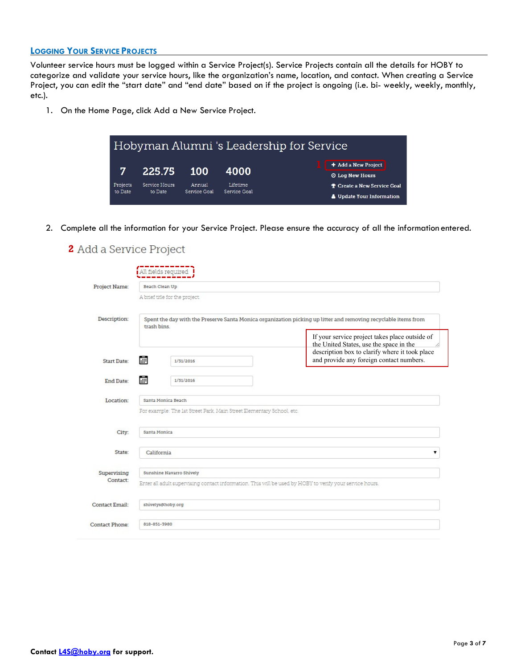# <span id="page-2-0"></span>**LOGGING YOUR SERVICE PROJECTS**

Volunteer service hours must be logged within a Service Project(s). Service Projects contain all the details for HOBY to categorize and validate your service hours, like the organization's name, location, and contact. When creating a Service Project, you can edit the "start date" and "end date" based on if the project is ongoing (i.e. bi- weekly, weekly, monthly, etc.).

1. On the Home Page, click Add a New Service Project.



2. Complete all the information for your Service Project. Please ensure the accuracy of all the information entered.

# **2** Add a Service Project

| Project Name:         | Beach Clean Up                                                                                                                |  |                                                                                                                                             |  |  |
|-----------------------|-------------------------------------------------------------------------------------------------------------------------------|--|---------------------------------------------------------------------------------------------------------------------------------------------|--|--|
|                       | A brief title for the project.                                                                                                |  |                                                                                                                                             |  |  |
| Description:          | Spent the day with the Preserve Santa Monica organization picking up litter and removing recyclable items from<br>trash bins. |  |                                                                                                                                             |  |  |
|                       |                                                                                                                               |  | If your service project takes place outside of<br>the United States, use the space in the<br>description box to clarify where it took place |  |  |
| <b>Start Date:</b>    | 諞<br>1/31/2016                                                                                                                |  | and provide any foreign contact numbers.                                                                                                    |  |  |
| End Date:             | æ<br>1/31/2016                                                                                                                |  |                                                                                                                                             |  |  |
| Location:             | Santa Monica Beach                                                                                                            |  |                                                                                                                                             |  |  |
|                       | For example: The 1st Street Park, Main Street Elementary School, etc.                                                         |  |                                                                                                                                             |  |  |
| City:                 | Santa Monica                                                                                                                  |  |                                                                                                                                             |  |  |
| State:                | California                                                                                                                    |  |                                                                                                                                             |  |  |
| Supervising           | Sunshine Navarro Shively                                                                                                      |  | ▼                                                                                                                                           |  |  |
| Contact:              |                                                                                                                               |  | Enter all adult supervising contact information. This will be used by HOBY to verify your service hours.                                    |  |  |
| <b>Contact Email:</b> | shivelys@hoby.org                                                                                                             |  |                                                                                                                                             |  |  |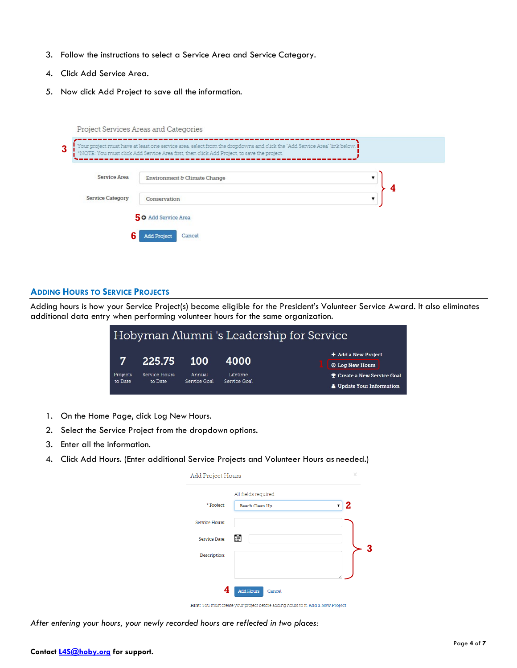- 3. Follow the instructions to select a Service Area and Service Category.
- 4. Click Add Service Area.
- 5. Now click Add Project to save all the information.

| Service Area     | Environment & Climate Change |   |
|------------------|------------------------------|---|
| Service Category | Conservation                 | 4 |

# <span id="page-3-0"></span>**ADDING HOURS TO SERVICE PROJECTS**

Adding hours is how your Service Project(s) become eligible for the President's Volunteer Service Award. It also eliminates additional data entry when performing volunteer hours for the same organization.

|                     |                          |                        |                          | Hobyman Alumni's Leadership for Service |                                                 |
|---------------------|--------------------------|------------------------|--------------------------|-----------------------------------------|-------------------------------------------------|
| 7                   | 225.75                   | <b>100</b>             | 4000                     |                                         | $+$ Add a New Project<br><b>O Log New Hours</b> |
|                     |                          |                        |                          |                                         |                                                 |
| Projects<br>to Date | Service Hours<br>to Date | Annual<br>Service Goal | Lifetime<br>Service Goal |                                         | <b>P</b> Create a New Service Goal              |
|                     |                          |                        |                          |                                         | <b>A</b> Update Your Information                |

- 1. On the Home Page, click Log New Hours.
- 2. Select the Service Project from the dropdown options.
- 3. Enter all the information.
- 4. Click Add Hours. (Enter additional Service Projects and Volunteer Hours as needed.)

| Add Project Hours     |                                       | × |
|-----------------------|---------------------------------------|---|
| * Project:            | All fields required<br>Beach Clean Up | 2 |
| <b>Service Hours:</b> |                                       |   |
| Service Date:         | ili.                                  |   |
| Description:          |                                       |   |
|                       | <b>Add Hours</b><br>Cancel            |   |

Hint: You must create your project before adding hours to it. Add a New Project

*After entering your hours, your newly recorded hours are reflected in two places:*

## **Contact [L4S@hoby.org](mailto:L4S@hoby.org) for support.**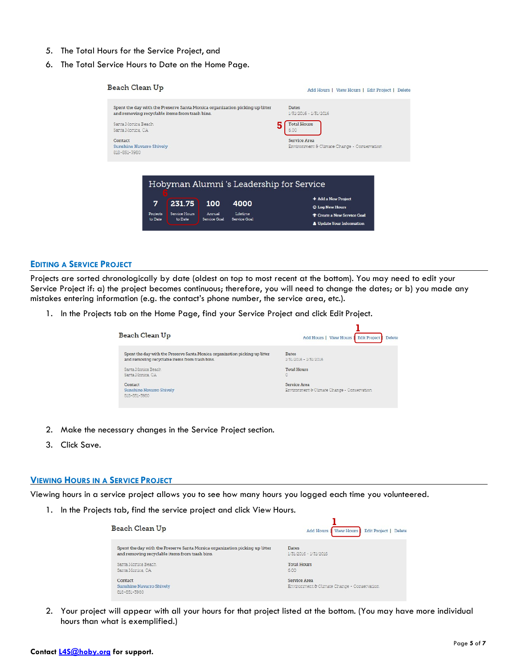- 5. The Total Hours for the Service Project, and
- 6. The Total Service Hours to Date on the Home Page.



#### <span id="page-4-0"></span>**EDITING A SERVICE PROJECT**

Projects are sorted chronologically by date (oldest on top to most recent at the bottom). You may need to edit your Service Project if: a) the project becomes continuous; therefore, you will need to change the dates; or b) you made any mistakes entering information (e.g. the contact's phone number, the service area, etc.).

1. In the Projects tab on the Home Page, find your Service Project and click Edit Project.

| Beach Clean Up                                                              | Edit Project   Delete<br>Add Hours   View Hours             |
|-----------------------------------------------------------------------------|-------------------------------------------------------------|
| Spent the day with the Preserve Santa Monica organization picking up litter | Dates                                                       |
| and removing recyclable items from trash bins.                              | 1/31/2016 - 1/31/2016                                       |
| Santa Monica Beach                                                          | <b>Total Hours</b>                                          |
| Santa Morica, CA                                                            | 0                                                           |
| Contact<br>Sunshine Navarro Shively<br>818-851-3980                         | Service Area<br>Environment & Climate Change - Conservation |

- 2. Make the necessary changes in the Service Project section.
- 3. Click Save.

#### <span id="page-4-1"></span>**VIEWING HOURS IN A SERVICE PROJECT**

Viewing hours in a service project allows you to see how many hours you logged each time you volunteered.

1. In the Projects tab, find the service project and click View Hours.

| Beach Clean Up                                                                                                                | Edit Project   Delete<br><b>Add Hours   View Hours</b> |
|-------------------------------------------------------------------------------------------------------------------------------|--------------------------------------------------------|
| Spent the day with the Preserve Santa Monica organization picking up litter<br>and removing recyclable items from trash bins. | Dates<br>1/31/2016 - 1/31/2016                         |
| Santa Monica Beach                                                                                                            | <b>Total Hours</b>                                     |
| Santa Monica, CA                                                                                                              | 6.00                                                   |
| Contact                                                                                                                       | Service Area                                           |
| Sunshine Navarro Shively<br>818-851-3980                                                                                      | Environment & Climate Change - Conservation            |

2. Your project will appear with all your hours for that project listed at the bottom. (You may have more individual hours than what is exemplified.)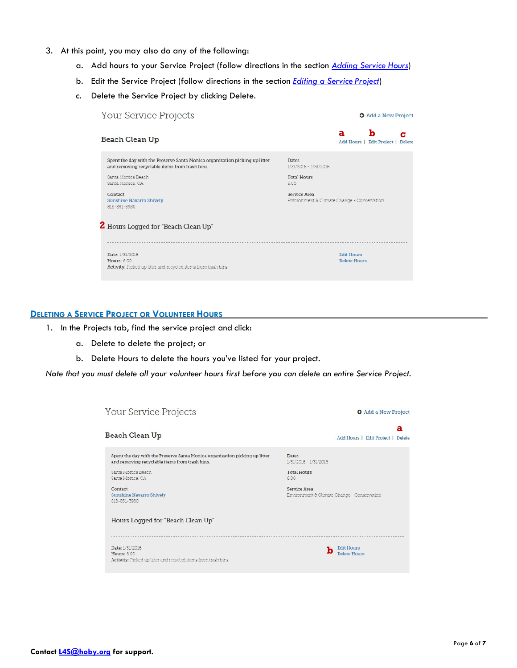- 3. At this point, you may also do any of the following:
	- a. Add hours to your Service Project (follow directions in the section *[Adding Service](#page-3-0) Hours*)
	- b. Edit the Service Project (follow directions in the section *[Editing a Service](#page-4-0) Project*)
	- c. Delete the Service Project by clicking Delete.

| Your Service Projects                                                                                                         | <b>O</b> Add a New Project                                   |
|-------------------------------------------------------------------------------------------------------------------------------|--------------------------------------------------------------|
| Beach Clean Up                                                                                                                | ħ<br>a<br>Add Hours   Edit Project  <br><b>Delete</b>        |
| Spent the day with the Preserve Santa Monica organization picking up litter<br>and removing recyclable items from trash bins. | <b>Dates</b><br>1/31/2016 - 1/31/2016                        |
| Santa Monica Beach<br>Santa Monica, CA                                                                                        | <b>Total Hours</b><br>6.00                                   |
| Contact<br><b>Sunshine Navarro Shively</b><br>818-851-3980                                                                    | Service Area<br>Environment & Climate Change - Conservation. |
|                                                                                                                               |                                                              |
| 2 Hours Logged for "Beach Clean Up"                                                                                           |                                                              |
|                                                                                                                               |                                                              |
| Date: 1/31/2016                                                                                                               | <b>Edit Hours</b>                                            |
| Hours: 6.00<br>Activity: Picked up litter and recycled items from trash bins.                                                 | Delete Hours                                                 |

### <span id="page-5-0"></span>**DELETING A SERVICE PROJECT OR VOLUNTEER HOURS**

- 1. In the Projects tab, find the service project and click:
	- a. Delete to delete the project; or
	- b. Delete Hours to delete the hours you've listed for your project.

*Note that you must delete all your volunteer hours first before you can delete an entire Service Project.*

| Your Service Projects                                                                                                                                                                                                                 | <b>O</b> Add a New Project                                                                                                         |
|---------------------------------------------------------------------------------------------------------------------------------------------------------------------------------------------------------------------------------------|------------------------------------------------------------------------------------------------------------------------------------|
| Beach Clean Up                                                                                                                                                                                                                        | а<br>Add Hours   Edit Project   Delete                                                                                             |
| Spent the day with the Preserve Santa Monica organization picking up litter<br>and removing recyclable items from trash bins.<br>Santa Monica Beach<br>Santa Monica, CA<br>Contact<br><b>Sunshine Navarro Shively</b><br>818-851-3980 | <b>Dates</b><br>1/31/2016 - 1/31/2016<br><b>Total Hours</b><br>6.00<br>Service Area<br>Environment & Climate Change - Conservation |
| Hours Logged for "Beach Clean Up"                                                                                                                                                                                                     |                                                                                                                                    |
| Date: 1/31/2016<br>Hours: 6.00<br>Activity: Picked up litter and recycled items from trash bins.                                                                                                                                      | <b>Edit Hours</b><br>Delete Hours                                                                                                  |